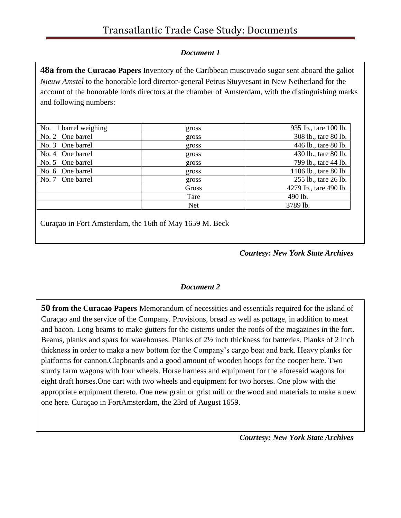#### *Document 1*

**48a from the Curacao Papers** Inventory of the Caribbean muscovado sugar sent aboard the galiot *Nieuw Amstel* to the honorable lord director-general Petrus Stuyvesant in New Netherland for the account of the honorable lords directors at the chamber of Amsterdam, with the distinguishing marks and following numbers:

| No. 1 barrel weighing | gross      | 935 lb., tare 100 lb.  |
|-----------------------|------------|------------------------|
| No. 2 One barrel      | gross      | 308 lb., tare 80 lb.   |
| No. 3 One barrel      | gross      | 446 lb., tare 80 lb.   |
| No. 4 One barrel      | gross      | 430 lb., tare 80 lb.   |
| No. 5 One barrel      | gross      | 799 lb., tare 44 lb.   |
| No. 6 One barrel      | gross      | 1106 lb., tare 80 lb.  |
| No. 7 One barrel      | gross      | 255 lb., tare 26 lb.   |
|                       | Gross      | 4279 lb., tare 490 lb. |
|                       | Tare       | 490 lb.                |
|                       | <b>Net</b> | 3789 lb.               |

Curaçao in Fort Amsterdam, the 16th of May 1659 M. Beck

#### *Courtesy: New York State Archives*

#### *Document 2*

**50 from the Curacao Papers** Memorandum of necessities and essentials required for the island of Curaçao and the service of the Company. Provisions, bread as well as pottage, in addition to meat and bacon. Long beams to make gutters for the cisterns under the roofs of the magazines in the fort. Beams, planks and spars for warehouses. Planks of 2½ inch thickness for batteries. Planks of 2 inch thickness in order to make a new bottom for the Company's cargo boat and bark. Heavy planks for platforms for cannon.Clapboards and a good amount of wooden hoops for the cooper here. Two sturdy farm wagons with four wheels. Horse harness and equipment for the aforesaid wagons for eight draft horses.One cart with two wheels and equipment for two horses. One plow with the appropriate equipment thereto. One new grain or grist mill or the wood and materials to make a new one here. Curaçao in FortAmsterdam, the 23rd of August 1659.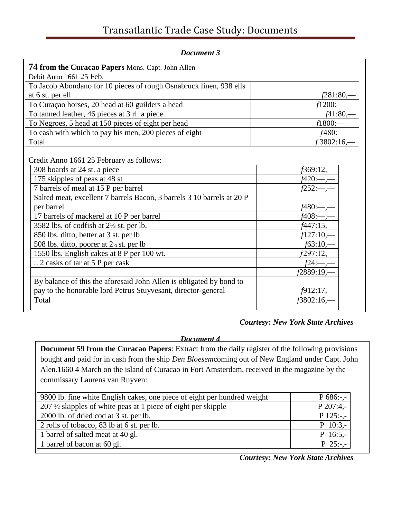| Document 3                                                             |                  |
|------------------------------------------------------------------------|------------------|
| <b>74 from the Curacao Papers Mons. Capt. John Allen</b>               |                  |
| Debit Anno 1661 25 Feb.                                                |                  |
| To Jacob Abondano for 10 pieces of rough Osnabruck linen, 938 ells     |                  |
| at 6 st. per ell                                                       | $f281:80,$ —     |
| To Curaçao horses, 20 head at 60 guilders a head                       | $f1200$ :—       |
| To tanned leather, 46 pieces at 3 rl. a piece                          | $f41:80,-$       |
| To Negroes, 5 head at 150 pieces of eight per head                     | $f1800$ :—       |
| To cash with which to pay his men, 200 pieces of eight                 | $f480$ :--       |
| Total                                                                  | f 3802:16,-      |
| Credit Anno 1661 25 February as follows:                               |                  |
| 308 boards at 24 st. a piece                                           | $f369:12,-$      |
| 175 skipples of peas at 48 st                                          | $f420:$ —,—      |
| 7 barrels of meal at 15 P per barrel                                   | $f252:—,-$       |
| Salted meat, excellent 7 barrels Bacon, 3 barrels 3 10 barrels at 20 P |                  |
| per barrel                                                             | $f480:$ ,        |
| 17 barrels of mackerel at 10 P per barrel                              | <i>f</i> 408:—,– |
| 3582 lbs. of codfish at 2½ st. per lb.                                 | $f447:15, -$     |
| 850 lbs. ditto, better at 3 st. per lb                                 | $f127:10,-$      |
| 508 lbs. ditto, poorer at 2 <sup>1/2</sup> st. per lb                  | $f63:10,-$       |
| 1550 lbs. English cakes at 8 P per 100 wt.                             | f297:12,—        |
| $\therefore$ 2 casks of tar at 5 P per cask                            | $f24:$ —,-       |
|                                                                        | f2889:19,-       |
| By balance of this the aforesaid John Allen is obligated by bond to    |                  |
| pay to the honorable lord Petrus Stuyvesant, director-general          | $f912:17$ ,—     |
| Total                                                                  | $f3802:16$ ,-    |
|                                                                        |                  |

### *Courtesy: New York State Archives*

*Document 4*

**Document 59 from the Curacao Papers**: Extract from the daily register of the following provisions bought and paid for in cash from the ship *Den Bloesem*coming out of New England under Capt. John Alen.1660 4 March on the island of Curacao in Fort Amsterdam, received in the magazine by the commissary Laurens van Ruyven:

| 9800 lb. fine white English cakes, one piece of eight per hundred weight | $P$ 686:-,- |
|--------------------------------------------------------------------------|-------------|
| $207 \frac{1}{2}$ skipples of white peas at 1 piece of eight per skipple | $P$ 207:4,- |
| 2000 lb. of dried cod at 3 st. per lb.                                   | $P$ 125:-,- |
| 2 rolls of tobacco, 83 lb at 6 st. per lb.                               | $P$ 10:3,-  |
| 1 barrel of salted meat at 40 gl.                                        | $P$ 16:5,-  |
| 1 barrel of bacon at 60 gl.                                              | $P$ 25:-,-  |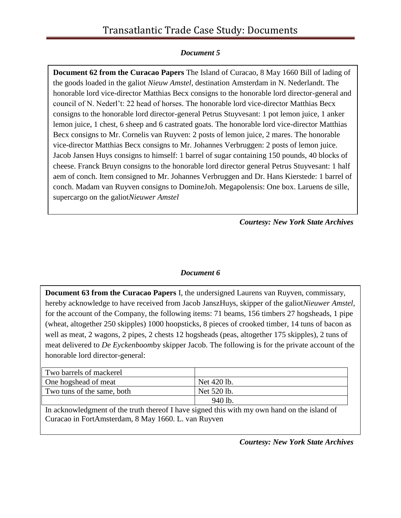#### *Document 5*

**Document 62 from the Curacao Papers** The Island of Curacao, 8 May 1660 Bill of lading of the goods loaded in the galiot *Nieuw Amstel,* destination Amsterdam in N. Nederlandt. The honorable lord vice-director Matthias Becx consigns to the honorable lord director-general and council of N. Nederl't: 22 head of horses. The honorable lord vice-director Matthias Becx consigns to the honorable lord director-general Petrus Stuyvesant: 1 pot lemon juice, 1 anker lemon juice, 1 chest, 6 sheep and 6 castrated goats. The honorable lord vice-director Matthias Becx consigns to Mr. Cornelis van Ruyven: 2 posts of lemon juice, 2 mares. The honorable vice-director Matthias Becx consigns to Mr. Johannes Verbruggen: 2 posts of lemon juice. Jacob Jansen Huys consigns to himself: 1 barrel of sugar containing 150 pounds, 40 blocks of cheese. Franck Bruyn consigns to the honorable lord director general Petrus Stuyvesant: 1 half aem of conch. Item consigned to Mr. Johannes Verbruggen and Dr. Hans Kierstede: 1 barrel of conch. Madam van Ruyven consigns to DomineJoh. Megapolensis: One box. Laruens de sille, supercargo on the galiot*Nieuwer Amstel*

*Courtesy: New York State Archives*

#### *Document 6*

**Document 63 from the Curacao Papers** I, the undersigned Laurens van Ruyven, commissary, hereby acknowledge to have received from Jacob JanszHuys, skipper of the galiot*Nieuwer Amstel,*  for the account of the Company, the following items: 71 beams, 156 timbers 27 hogsheads, 1 pipe (wheat, altogether 250 skipples) 1000 hoopsticks, 8 pieces of crooked timber, 14 tuns of bacon as well as meat, 2 wagons, 2 pipes, 2 chests 12 hogsheads (peas, altogether 175 skipples), 2 tuns of meat delivered to *De Eyckenboom*by skipper Jacob. The following is for the private account of the honorable lord director-general:

| Two barrels of mackerel    |             |
|----------------------------|-------------|
| One hogshead of meat       | Net 420 lb. |
| Two tuns of the same, both | Net 520 lb. |
|                            | 940 lb.     |

In acknowledgment of the truth thereof I have signed this with my own hand on the island of Curacao in FortAmsterdam, 8 May 1660. L. van Ruyven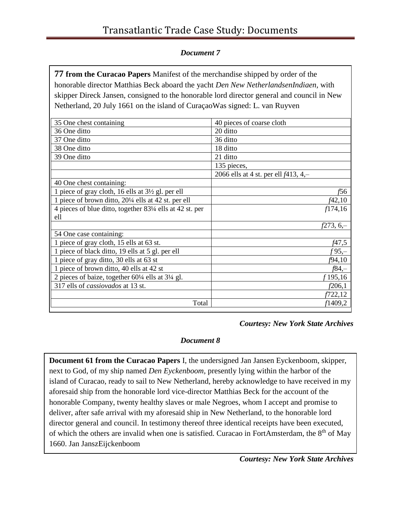#### *Document 7*

**77 from the Curacao Papers** Manifest of the merchandise shipped by order of the honorable director Matthias Beck aboard the yacht *Den New NetherlandsenIndiaen,* with skipper Direck Jansen, consigned to the honorable lord director general and council in New Netherland, 20 July 1661 on the island of CuraçaoWas signed: L. van Ruyven

| 35 One chest containing                                                | 40 pieces of coarse cloth               |
|------------------------------------------------------------------------|-----------------------------------------|
| 36 One ditto                                                           | 20 ditto                                |
| 37 One ditto                                                           | 36 ditto                                |
| 38 One ditto                                                           | 18 ditto                                |
| 39 One ditto                                                           | 21 ditto                                |
|                                                                        | 135 pieces,                             |
|                                                                        | 2066 ells at 4 st. per ell $f413, 4, -$ |
| 40 One chest containing:                                               |                                         |
| 1 piece of gray cloth, 16 ells at 3½ gl. per ell                       | f56                                     |
| 1 piece of brown ditto, 201/4 ells at 42 st. per ell                   | f42,10                                  |
| 4 pieces of blue ditto, together 83¼ ells at 42 st. per                | f174,16                                 |
| ell                                                                    |                                         |
|                                                                        | <i>f</i> 273, 6,–                       |
| 54 One case containing:                                                |                                         |
| 1 piece of gray cloth, 15 ells at 63 st.                               | f47,5                                   |
| 1 piece of black ditto, 19 ells at 5 gl. per ell                       | $f95,-$                                 |
| 1 piece of gray ditto, 30 ells at 63 st                                | f94, 10                                 |
| 1 piece of brown ditto, 40 ells at 42 st                               | f84,–                                   |
| 2 pieces of baize, together $60\frac{1}{4}$ ells at $3\frac{1}{4}$ gl. | f 195,16                                |
| 317 ells of cassiovados at 13 st.                                      | f206,1                                  |
|                                                                        | f722,12                                 |
| Total                                                                  | f1409,2                                 |

#### *Courtesy: New York State Archives*

#### *Document 8*

**Document 61 from the Curacao Papers** I, the undersigned Jan Jansen Eyckenboom, skipper, next to God, of my ship named *Den Eyckenboom,* presently lying within the harbor of the island of Curacao, ready to sail to New Netherland, hereby acknowledge to have received in my aforesaid ship from the honorable lord vice-director Matthias Beck for the account of the honorable Company, twenty healthy slaves or male Negroes, whom I accept and promise to deliver, after safe arrival with my aforesaid ship in New Netherland, to the honorable lord director general and council. In testimony thereof three identical receipts have been executed, of which the others are invalid when one is satisfied. Curacao in FortAmsterdam, the 8th of May 1660. Jan JanszEijckenboom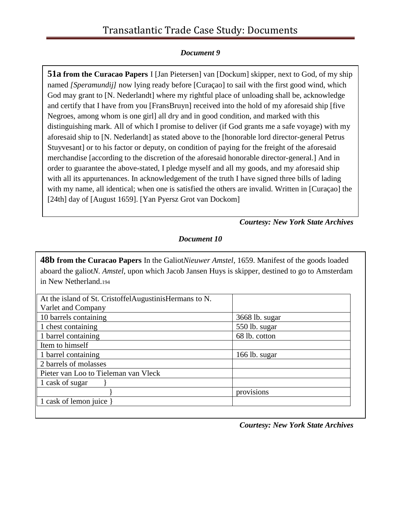#### *Document 9*

**51a from the Curacao Papers** I [Jan Pietersen] van [Dockum] skipper, next to God, of my ship named *[Speramundij]* now lying ready before [Curaçao] to sail with the first good wind, which God may grant to [N. Nederlandt] where my rightful place of unloading shall be, acknowledge and certify that I have from you [FransBruyn] received into the hold of my aforesaid ship [five Negroes, among whom is one girl] all dry and in good condition, and marked with this distinguishing mark. All of which I promise to deliver (if God grants me a safe voyage) with my aforesaid ship to [N. Nederlandt] as stated above to the [honorable lord director-general Petrus Stuyvesant] or to his factor or deputy, on condition of paying for the freight of the aforesaid merchandise [according to the discretion of the aforesaid honorable director-general.] And in order to guarantee the above-stated, I pledge myself and all my goods, and my aforesaid ship with all its appurtenances. In acknowledgement of the truth I have signed three bills of lading with my name, all identical; when one is satisfied the others are invalid. Written in [Curaçao] the [24th] day of [August 1659]. [Yan Pyersz Grot van Dockom]

*Courtesy: New York State Archives*

*Document 10*

**48b from the Curacao Papers** In the Galiot*Nieuwer Amstel,* 1659. Manifest of the goods loaded aboard the galiot*N. Amstel,* upon which Jacob Jansen Huys is skipper, destined to go to Amsterdam in New Netherland.<sup>194</sup>

| 3668 lb. sugar |
|----------------|
| 550 lb. sugar  |
| 68 lb. cotton  |
|                |
| 166 lb. sugar  |
|                |
|                |
|                |
| provisions     |
|                |
|                |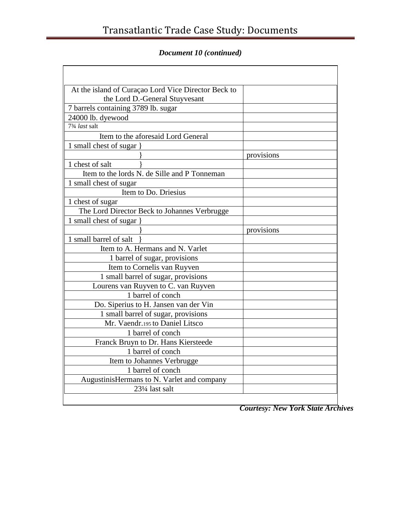*Document 10 (continued)*

| At the island of Curaçao Lord Vice Director Beck to<br>the Lord D.-General Stuyvesant |            |
|---------------------------------------------------------------------------------------|------------|
| 7 barrels containing 3789 lb. sugar                                                   |            |
| 24000 lb. dyewood                                                                     |            |
| $\sqrt{73/4}$ <i>last</i> salt                                                        |            |
| Item to the aforesaid Lord General                                                    |            |
| 1 small chest of sugar }                                                              |            |
|                                                                                       | provisions |
| 1 chest of salt                                                                       |            |
| Item to the lords N. de Sille and P Tonneman                                          |            |
| 1 small chest of sugar                                                                |            |
| Item to Do. Driesius                                                                  |            |
| 1 chest of sugar                                                                      |            |
| The Lord Director Beck to Johannes Verbrugge                                          |            |
| 1 small chest of sugar                                                                |            |
|                                                                                       | provisions |
| 1 small barrel of salt                                                                |            |
| Item to A. Hermans and N. Varlet                                                      |            |
| 1 barrel of sugar, provisions                                                         |            |
| Item to Cornelis van Ruyven                                                           |            |
| 1 small barrel of sugar, provisions                                                   |            |
| Lourens van Ruyven to C. van Ruyven                                                   |            |
| 1 barrel of conch                                                                     |            |
| Do. Siperius to H. Jansen van der Vin                                                 |            |
| 1 small barrel of sugar, provisions                                                   |            |
| Mr. Vaendr.195 to Daniel Litsco                                                       |            |
| 1 barrel of conch                                                                     |            |
| Franck Bruyn to Dr. Hans Kiersteede                                                   |            |
| 1 barrel of conch                                                                     |            |
| Item to Johannes Verbrugge                                                            |            |
| 1 barrel of conch                                                                     |            |
| AugustinisHermans to N. Varlet and company                                            |            |
| 231/4 last salt                                                                       |            |